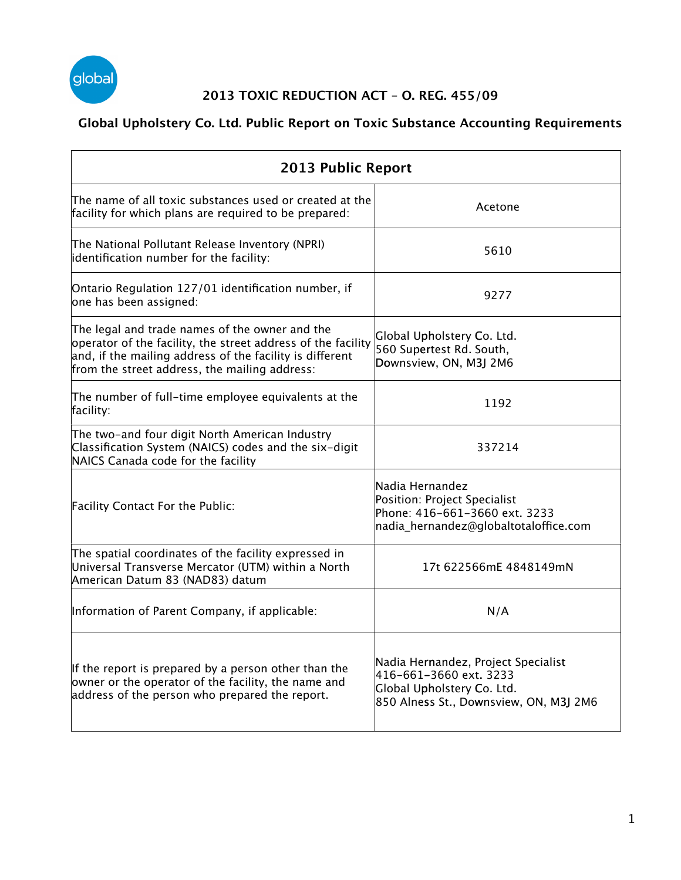

#### **2013 TOXIC REDUCTION ACT – O. REG. 455/09**

#### **Global Upholstery Co. Ltd. Public Report on Toxic Substance Accounting Requirements**

| 2013 Public Report                                                                                                                                                                                                          |                                                                                                                                       |  |
|-----------------------------------------------------------------------------------------------------------------------------------------------------------------------------------------------------------------------------|---------------------------------------------------------------------------------------------------------------------------------------|--|
| The name of all toxic substances used or created at the<br>facility for which plans are required to be prepared:                                                                                                            | Acetone                                                                                                                               |  |
| The National Pollutant Release Inventory (NPRI)<br>identification number for the facility:                                                                                                                                  | 5610                                                                                                                                  |  |
| Ontario Regulation 127/01 identification number, if<br>one has been assigned:                                                                                                                                               | 9277                                                                                                                                  |  |
| The legal and trade names of the owner and the<br>operator of the facility, the street address of the facility<br>and, if the mailing address of the facility is different<br>from the street address, the mailing address: | Global Upholstery Co. Ltd.<br>560 Supertest Rd. South,<br>Downsview, ON, M3J 2M6                                                      |  |
| The number of full-time employee equivalents at the<br>facility:                                                                                                                                                            | 1192                                                                                                                                  |  |
| The two-and four digit North American Industry<br>Classification System (NAICS) codes and the six-digit<br>NAICS Canada code for the facility                                                                               | 337214                                                                                                                                |  |
| Facility Contact For the Public:                                                                                                                                                                                            | Nadia Hernandez<br>Position: Project Specialist<br>Phone: 416-661-3660 ext. 3233<br>nadia_hernandez@globaltotaloffice.com             |  |
| The spatial coordinates of the facility expressed in<br>Universal Transverse Mercator (UTM) within a North<br>American Datum 83 (NAD83) datum                                                                               | 17t 622566mE 4848149mN                                                                                                                |  |
| Information of Parent Company, if applicable:                                                                                                                                                                               | N/A                                                                                                                                   |  |
| If the report is prepared by a person other than the<br>owner or the operator of the facility, the name and<br>address of the person who prepared the report.                                                               | Nadia Hernandez, Project Specialist<br>416-661-3660 ext. 3233<br>Global Upholstery Co. Ltd.<br>850 Alness St., Downsview, ON, M3J 2M6 |  |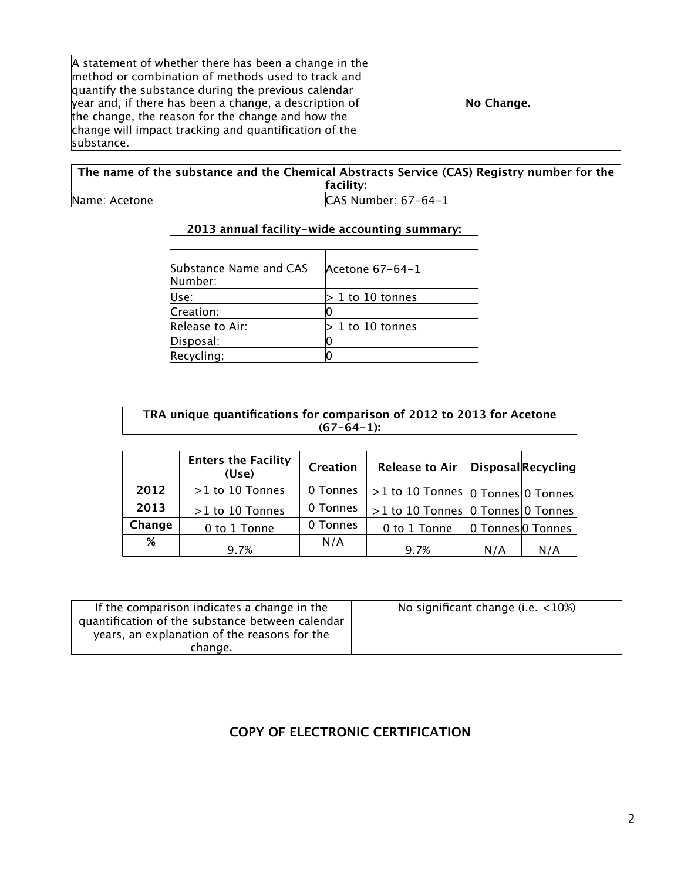**The name of the substance and the Chemical Abstracts Service (CAS) Registry number for the Registry number the facility:** Name: Acetone CAS Number: 67-64-1

#### **2013 annual facility-wide accounting summary:**

| Substance Name and CAS<br>Number: | Acetone 67-64-1    |
|-----------------------------------|--------------------|
| Use:                              | $>1$ to 10 tonnes  |
| Creation:                         |                    |
| Release to Air:                   | $> 1$ to 10 tonnes |
| Disposal:                         |                    |
| Recycling:                        |                    |

#### **TRA unique quantifications for comparison of 2012 to 2013 for Acetone (67-64-1):**

|        | <b>Enters the Facility</b><br>(Use) | Creation | Release to Air                                               |     | Disposal Recycling |
|--------|-------------------------------------|----------|--------------------------------------------------------------|-----|--------------------|
| 2012   | $>1$ to 10 Tonnes                   | 0 Tonnes | $\sim$ >1 to 10 Tonnes $ 0\>\text{Tonnes} 0\>\text{Tonnes} $ |     |                    |
| 2013   | >1 to 10 Tonnes                     | 0 Tonnes | >1 to 10 Tonnes   0 Tonnes   0 Tonnes                        |     |                    |
| Change | 0 to 1 Tonne                        | 0 Tonnes | 0 to 1 Tonne                                                 |     | 0 Tonnes 0 Tonnes  |
| %      | 9.7%                                | N/A      | 9.7%                                                         | N/A | N/A                |

#### **COPY OF ELECTRONIC CERTIFICATION**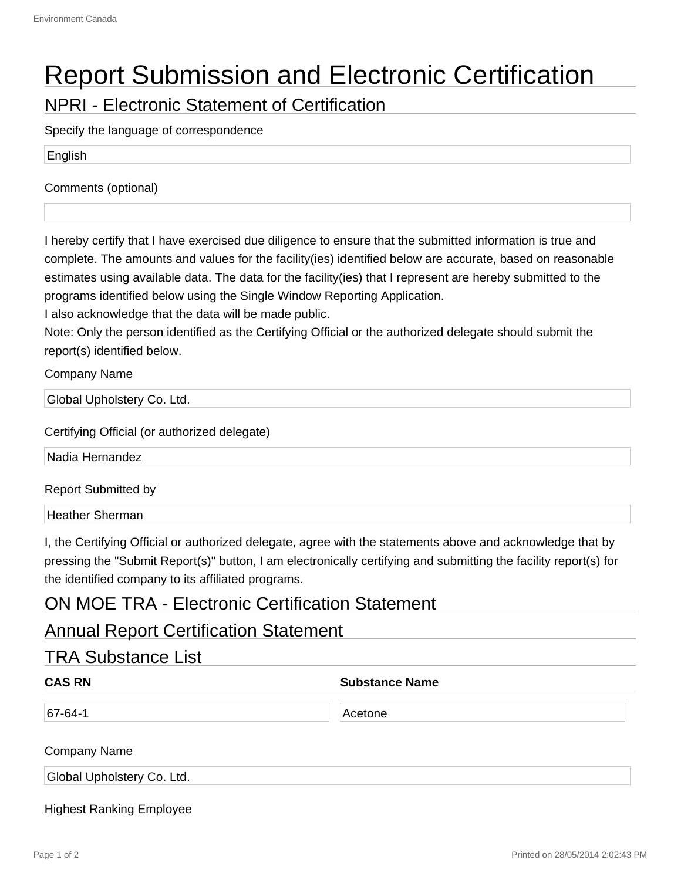# Report Submission and Electronic Certification

NPRI - Electronic Statement of Certification

Specify the language of correspondence

English

Comments (optional)

I hereby certify that I have exercised due diligence to ensure that the submitted information is true and complete. The amounts and values for the facility(ies) identified below are accurate, based on reasonable estimates using available data. The data for the facility(ies) that I represent are hereby submitted to the programs identified below using the Single Window Reporting Application.

I also acknowledge that the data will be made public.

Note: Only the person identified as the Certifying Official or the authorized delegate should submit the report(s) identified below.

Company Name

Global Upholstery Co. Ltd.

Certifying Official (or authorized delegate)

Nadia Hernandez

Report Submitted by

Heather Sherman

I, the Certifying Official or authorized delegate, agree with the statements above and acknowledge that by pressing the "Submit Report(s)" button, I am electronically certifying and submitting the facility report(s) for the identified company to its affiliated programs.

#### ON MOE TRA - Electronic Certification Statement

#### Annual Report Certification Statement

| <b>CAS RN</b> | <b>Substance Name</b> |  |
|---------------|-----------------------|--|
| $67 - 64 - 1$ | Acetone               |  |

Global Upholstery Co. Ltd.

Highest Ranking Employee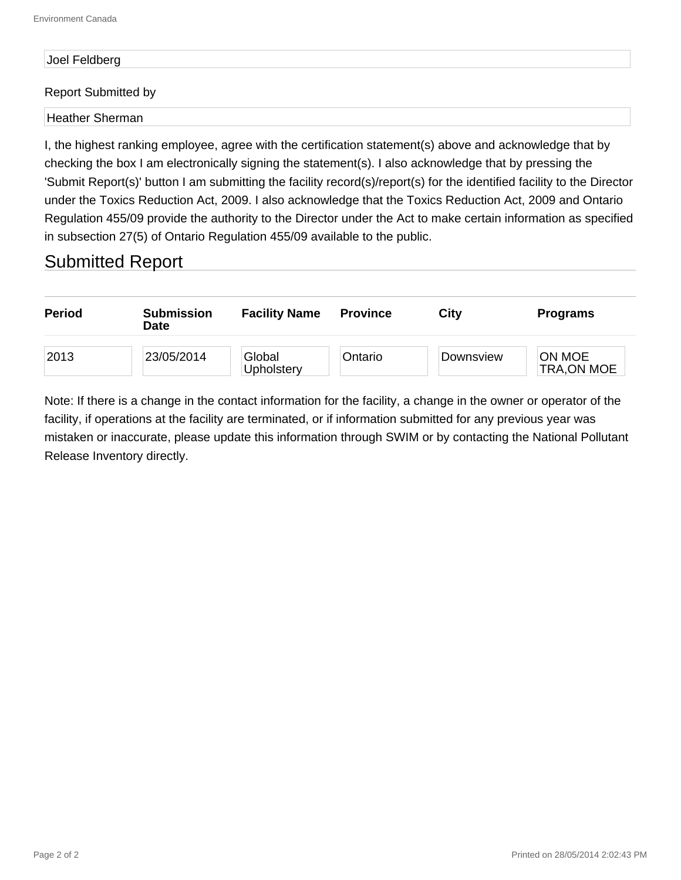## Joel Feldberg

#### Report Submitted by

Heather Sherman

I, the highest ranking employee, agree with the certification statement(s) above and acknowledge that by checking the box I am electronically signing the statement(s). I also acknowledge that by pressing the 'Submit Report(s)' button I am submitting the facility record(s)/report(s) for the identified facility to the Director under the Toxics Reduction Act, 2009. I also acknowledge that the Toxics Reduction Act, 2009 and Ontario Regulation 455/09 provide the authority to the Director under the Act to make certain information as specified in subsection 27(5) of Ontario Regulation 455/09 available to the public.

#### Submitted Report



Note: If there is a change in the contact information for the facility, a change in the owner or operator of the facility, if operations at the facility are terminated, or if information submitted for any previous year was mistaken or inaccurate, please update this information through SWIM or by contacting the National Pollutant Release Inventory directly.